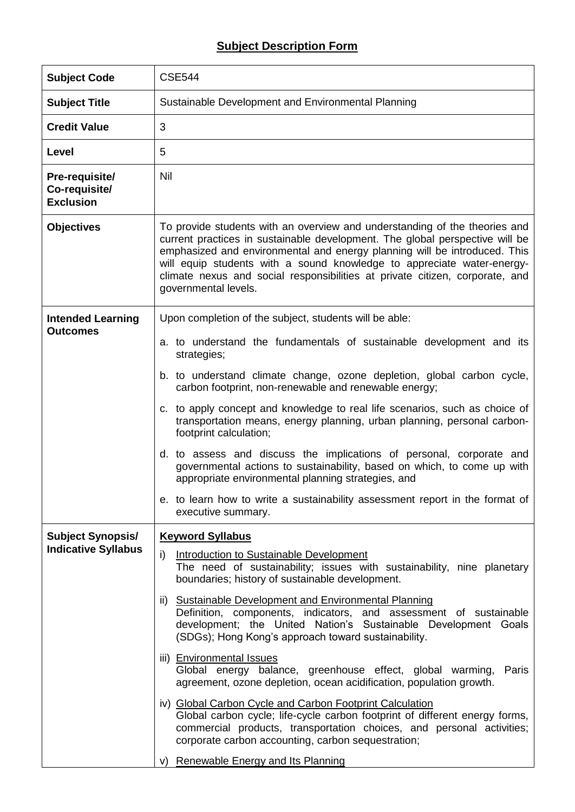## **Subject Description Form**

| <b>Subject Code</b>                                    | <b>CSE544</b>                                                                                                                                                                                                                                                                                                                                                                                                                                                                                                                                                                                                                                                                                                                                                                                                                                                                                                                                             |
|--------------------------------------------------------|-----------------------------------------------------------------------------------------------------------------------------------------------------------------------------------------------------------------------------------------------------------------------------------------------------------------------------------------------------------------------------------------------------------------------------------------------------------------------------------------------------------------------------------------------------------------------------------------------------------------------------------------------------------------------------------------------------------------------------------------------------------------------------------------------------------------------------------------------------------------------------------------------------------------------------------------------------------|
| <b>Subject Title</b>                                   | Sustainable Development and Environmental Planning                                                                                                                                                                                                                                                                                                                                                                                                                                                                                                                                                                                                                                                                                                                                                                                                                                                                                                        |
| <b>Credit Value</b>                                    | 3                                                                                                                                                                                                                                                                                                                                                                                                                                                                                                                                                                                                                                                                                                                                                                                                                                                                                                                                                         |
| Level                                                  | 5                                                                                                                                                                                                                                                                                                                                                                                                                                                                                                                                                                                                                                                                                                                                                                                                                                                                                                                                                         |
| Pre-requisite/<br>Co-requisite/<br><b>Exclusion</b>    | Nil                                                                                                                                                                                                                                                                                                                                                                                                                                                                                                                                                                                                                                                                                                                                                                                                                                                                                                                                                       |
| <b>Objectives</b>                                      | To provide students with an overview and understanding of the theories and<br>current practices in sustainable development. The global perspective will be<br>emphasized and environmental and energy planning will be introduced. This<br>will equip students with a sound knowledge to appreciate water-energy-<br>climate nexus and social responsibilities at private citizen, corporate, and<br>governmental levels.                                                                                                                                                                                                                                                                                                                                                                                                                                                                                                                                 |
| <b>Intended Learning</b>                               | Upon completion of the subject, students will be able:                                                                                                                                                                                                                                                                                                                                                                                                                                                                                                                                                                                                                                                                                                                                                                                                                                                                                                    |
| <b>Outcomes</b>                                        | a. to understand the fundamentals of sustainable development and its<br>strategies;                                                                                                                                                                                                                                                                                                                                                                                                                                                                                                                                                                                                                                                                                                                                                                                                                                                                       |
|                                                        | b. to understand climate change, ozone depletion, global carbon cycle,<br>carbon footprint, non-renewable and renewable energy;                                                                                                                                                                                                                                                                                                                                                                                                                                                                                                                                                                                                                                                                                                                                                                                                                           |
|                                                        | c. to apply concept and knowledge to real life scenarios, such as choice of<br>transportation means, energy planning, urban planning, personal carbon-<br>footprint calculation;                                                                                                                                                                                                                                                                                                                                                                                                                                                                                                                                                                                                                                                                                                                                                                          |
|                                                        | d. to assess and discuss the implications of personal, corporate and<br>governmental actions to sustainability, based on which, to come up with<br>appropriate environmental planning strategies, and                                                                                                                                                                                                                                                                                                                                                                                                                                                                                                                                                                                                                                                                                                                                                     |
|                                                        | e. to learn how to write a sustainability assessment report in the format of<br>executive summary.                                                                                                                                                                                                                                                                                                                                                                                                                                                                                                                                                                                                                                                                                                                                                                                                                                                        |
| <b>Subject Synopsis/</b><br><b>Indicative Syllabus</b> | <b>Keyword Syllabus</b><br>i)<br>Introduction to Sustainable Development<br>The need of sustainability; issues with sustainability, nine planetary<br>boundaries; history of sustainable development.<br>ii) Sustainable Development and Environmental Planning<br>Definition, components, indicators, and assessment of sustainable<br>development; the United Nation's Sustainable Development Goals<br>(SDGs); Hong Kong's approach toward sustainability.<br>iii) Environmental Issues<br>Global energy balance, greenhouse effect, global warming,<br>Paris<br>agreement, ozone depletion, ocean acidification, population growth.<br>iv) Global Carbon Cycle and Carbon Footprint Calculation<br>Global carbon cycle; life-cycle carbon footprint of different energy forms,<br>commercial products, transportation choices, and personal activities;<br>corporate carbon accounting, carbon sequestration;<br>v) Renewable Energy and Its Planning |